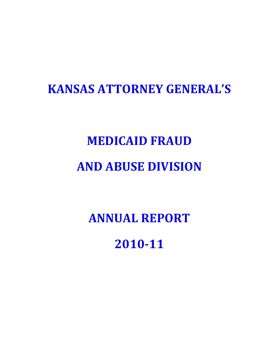# **KANSAS ATTORNEY GENERAL'S**

# **MEDICAID FRAUD AND ABUSE DIVISION**

**ANNUAL REPORT 2010-11**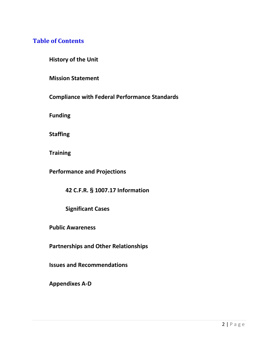# **Table of Contents**

**History of the Unit**

**Mission Statement**

**Compliance with Federal Performance Standards**

**Funding**

**Staffing**

**Training**

**Performance and Projections**

**42 C.F.R. § 1007.17 Information**

**Significant Cases** 

**Public Awareness** 

**Partnerships and Other Relationships** 

**Issues and Recommendations**

**Appendixes A-D**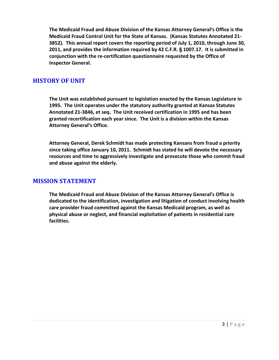The Medicaid Fraud and Abuse Division of the Kansas Attorney General's Office is the **Medicaid Fraud Control Unit for the State of Kansas. (Kansas Statutes Annotated 21- 3852). This annual report covers the reporting period of July 1, 2010, through June 30,**  2011, and provides the information required by 42 C.F.R. § 1007.17. It is submitted in **conjunction with the re-certification questionnaire requested by the Office of Inspector General.** 

# **HISTORY OF UNIT**

**The Unit was established pursuant to legislation enacted by the Kansas Legislature in 1995. The Unit operates under the statutory authority granted at Kansas Statutes Annotated 21-3846, et seq. The Unit received certification in 1995 and has been granted recertification each year since. The Unit is a division within the Kansas Attorney General's Office.**

**Attorney General, Derek Schmidt has made protecting Kansans from fraud a priority since taking office January 10, 2011. Schmidt has stated he will devote the necessary resources and time to aggressively investigate and prosecute those who commit fraud and abuse against the elderly.**

## **MISSION STATEMENT**

**The Medicaid Fraud and Abuse Division of the Kansas Attorney General's Office is dedicated to the identification, investigation and litigation of conduct involving health care provider fraud committed against the Kansas Medicaid program, as well as physical abuse or neglect, and financial exploitation of patients in residential care facilities.**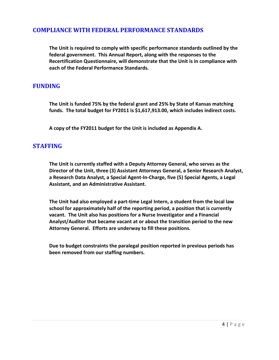# **COMPLIANCE WITH FEDERAL PERFORMANCE STANDARDS**

**The Unit is required to comply with specific performance standards outlined by the federal government. This Annual Report, along with the responses to the Recertification Questionnaire, will demonstrate that the Unit is in compliance with each of the Federal Performance Standards.**

# **FUNDING**

**The Unit is funded 75% by the federal grant and 25% by State of Kansas matching funds. The total budget for FY2011 is \$1,617,913.00, which includes indirect costs.** 

**A copy of the FY2011 budget for the Unit is included as Appendix A.**

## **STAFFING**

**The Unit is currently staffed with a Deputy Attorney General, who serves as the Director of the Unit, three (3) Assistant Attorneys General, a Senior Research Analyst, a Research Data Analyst, a Special Agent-In-Charge, five (5) Special Agents, a Legal Assistant, and an Administrative Assistant.** 

**The Unit had also employed a part-time Legal Intern, a student from the local law school for approximately half of the reporting period, a position that is currently vacant. The Unit also has positions for a Nurse Investigator and a Financial Analyst/Auditor that became vacant at or about the transition period to the new Attorney General. Efforts are underway to fill these positions.**

**Due to budget constraints the paralegal position reported in previous periods has been removed from our staffing numbers.**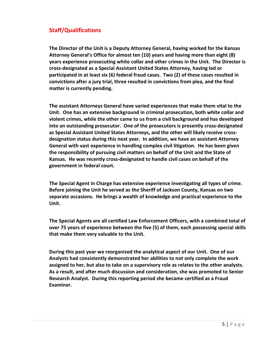# **Staff/Qualifications**

**The Director of the Unit is a Deputy Attorney General, having worked for the Kansas Attorney General's Office for almost ten (10) years and having more than eight (8) years experience prosecuting white collar and other crimes in the Unit. The Director is cross-designated as a Special Assistant United States Attorney, having led or participated in at least six (6) federal fraud cases. Two (2) of these cases resulted in convictions after a jury trial, three resulted in convictions from plea, and the final matter is currently pending.**

**The assistant Attorneys General have varied experiences that make them vital to the Unit. One has an extensive background in criminal prosecution, both white collar and violent crimes, while the other came to us from a civil background and has developed into an outstanding prosecutor. One of the prosecutors is presently cross-designated as Special Assistant United States Attorneys, and the other will likely receive crossdesignation status during this next year. In addition, we have an assistant Attorney General with vast experience in handling complex civil litigation. He has been given the responsibility of pursuing civil matters on behalf of the Unit and the State of Kansas. He was recently cross-designated to handle civil cases on behalf of the government in federal court.**

**The Special Agent in Charge has extensive experience investigating all types of crime. Before joining the Unit he served as the Sheriff of Jackson County, Kansas on two separate occasions. He brings a wealth of knowledge and practical experience to the Unit.**

**The Special Agents are all certified Law Enforcement Officers, with a combined total of over 75 years of experience between the five (5) of them, each possessing special skills that make them very valuable to the Unit.** 

**During this past year we reorganized the analytical aspect of our Unit. One of our Analysts had consistently demonstrated her abilities to not only complete the work assigned to her, but also to take on a supervisory role as relates to the other analysts. As a result, and after much discussion and consideration, she was promoted to Senior Research Analyst. During this reporting period she became certified as a Fraud Examiner.**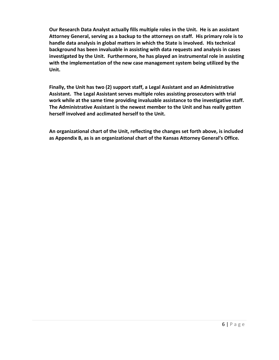**Our Research Data Analyst actually fills multiple roles in the Unit. He is an assistant Attorney General, serving as a backup to the attorneys on staff. His primary role is to handle data analysis in global matters in which the State is involved. His technical background has been invaluable in assisting with data requests and analysis in cases investigated by the Unit. Furthermore, he has played an instrumental role in assisting with the implementation of the new case management system being utilized by the Unit.** 

**Finally, the Unit has two (2) support staff, a Legal Assistant and an Administrative Assistant. The Legal Assistant serves multiple roles assisting prosecutors with trial work while at the same time providing invaluable assistance to the investigative staff. The Administrative Assistant is the newest member to the Unit and has really gotten herself involved and acclimated herself to the Unit.** 

**An organizational chart of the Unit, reflecting the changes set forth above, is included as Appendix B, as is an organizational chart of the Kansas Attorney General's Office.**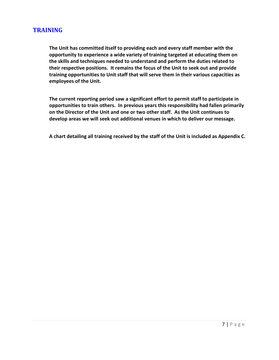# **TRAINING**

**The Unit has committed itself to providing each and every staff member with the opportunity to experience a wide variety of training targeted at educating them on the skills and techniques needed to understand and perform the duties related to their respective positions. It remains the focus of the Unit to seek out and provide training opportunities to Unit staff that will serve them in their various capacities as employees of the Unit.**

**The current reporting period saw a significant effort to permit staff to participate in opportunities to train others. In previous years this responsibility had fallen primarily on the Director of the Unit and one or two other staff. As the Unit continues to develop areas we will seek out additional venues in which to deliver our message.** 

**A chart detailing all training received by the staff of the Unit is included as Appendix C.**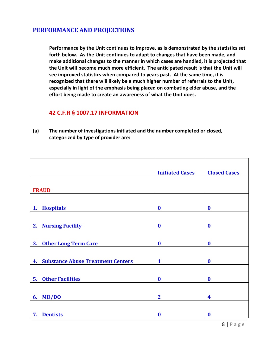# **PERFORMANCE AND PROJECTIONS**

**Performance by the Unit continues to improve, as is demonstrated by the statistics set forth below. As the Unit continues to adapt to changes that have been made, and make additional changes to the manner in which cases are handled, it is projected that the Unit will become much more efficient. The anticipated result is that the Unit will see improved statistics when compared to years past. At the same time, it is recognized that there will likely be a much higher number of referrals to the Unit, especially in light of the emphasis being placed on combating elder abuse, and the effort being made to create an awareness of what the Unit does.**

## **42 C.F.R § 1007.17 INFORMATION**

**(a) The number of investigations initiated and the number completed or closed, categorized by type of provider are:**

|                                                | <b>Initiated Cases</b> | <b>Closed Cases</b> |
|------------------------------------------------|------------------------|---------------------|
|                                                |                        |                     |
| <b>FRAUD</b>                                   |                        |                     |
|                                                |                        |                     |
| <b>Hospitals</b><br>1.                         | $\boldsymbol{0}$       | $\bf{0}$            |
|                                                |                        |                     |
| <b>Nursing Facility</b><br>2.                  | $\boldsymbol{0}$       | $\bf{0}$            |
|                                                |                        |                     |
| <b>Other Long Term Care</b><br>3.              | $\boldsymbol{0}$       | $\bf{0}$            |
|                                                |                        |                     |
| <b>Substance Abuse Treatment Centers</b><br>4. | $\mathbf{1}$           | $\bf{0}$            |
|                                                |                        |                     |
| <b>Other Facilities</b><br>5.                  | $\boldsymbol{0}$       | $\bf{0}$            |
|                                                |                        |                     |
| MD/DO<br>6.                                    | $\mathbf{2}$           | 4                   |
|                                                |                        |                     |
| <b>Dentists</b><br>7.                          | $\boldsymbol{0}$       | $\bf{0}$            |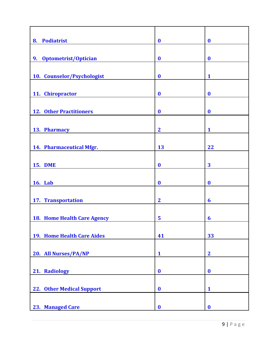| 8. Podiatrist                  | $\boldsymbol{0}$ | $\bf{0}$         |
|--------------------------------|------------------|------------------|
|                                |                  |                  |
| Optometrist/Optician<br>9.     | $\boldsymbol{0}$ | $\boldsymbol{0}$ |
|                                |                  |                  |
| 10. Counselor/Psychologist     | $\boldsymbol{0}$ | $\mathbf{1}$     |
| 11. Chiropractor               | $\boldsymbol{0}$ | $\boldsymbol{0}$ |
|                                |                  |                  |
| <b>12. Other Practitioners</b> | $\boldsymbol{0}$ | $\boldsymbol{0}$ |
|                                |                  |                  |
| 13. Pharmacy                   | $\mathbf{2}$     | 1                |
|                                |                  |                  |
| 14. Pharmaceutical Mfgr.       | 13               | 22               |
| <b>15. DME</b>                 | $\boldsymbol{0}$ | 3                |
|                                |                  |                  |
| <b>16. Lab</b>                 | $\boldsymbol{0}$ | $\boldsymbol{0}$ |
|                                |                  |                  |
| 17. Transportation             | $\overline{2}$   | 6                |
|                                |                  |                  |
| 18. Home Health Care Agency    | 5                | 6                |
|                                |                  |                  |
| 19. Home Health Care Aides     | 41               | 33               |
| 20. All Nurses/PA/NP           | $\mathbf{1}$     | $\overline{2}$   |
|                                |                  |                  |
| 21. Radiology                  | $\boldsymbol{0}$ | $\boldsymbol{0}$ |
|                                |                  |                  |
| 22. Other Medical Support      | $\boldsymbol{0}$ | $\mathbf{1}$     |
|                                |                  |                  |
| 23. Managed Care               | $\boldsymbol{0}$ | $\boldsymbol{0}$ |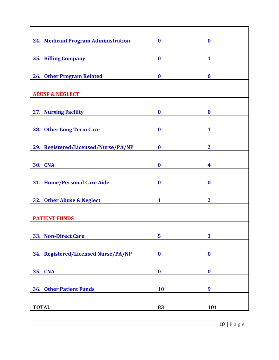| 24. Medicaid Program Administration | $\boldsymbol{0}$ | $\boldsymbol{0}$ |
|-------------------------------------|------------------|------------------|
|                                     |                  |                  |
| <b>25. Billing Company</b>          | $\boldsymbol{0}$ | $\mathbf{1}$     |
|                                     |                  |                  |
| <b>26. Other Program Related</b>    | $\bf{0}$         | $\boldsymbol{0}$ |
|                                     |                  |                  |
| <b>ABUSE &amp; NEGLECT</b>          |                  |                  |
| <b>27. Nursing Facility</b>         | $\boldsymbol{0}$ | $\bf{0}$         |
|                                     |                  |                  |
| 28. Other Long Term Care            | $\bf{0}$         | $\mathbf{1}$     |
|                                     |                  |                  |
| 29. Registered/Licensed/Nurse/PA/NP | $\boldsymbol{0}$ | $\mathbf{2}$     |
|                                     |                  |                  |
| <b>30. CNA</b>                      | $\boldsymbol{0}$ | 4                |
|                                     |                  |                  |
| 31. Home/Personal Care Aide         | $\boldsymbol{0}$ | $\boldsymbol{0}$ |
|                                     |                  |                  |
| 32. Other Abuse & Neglect           | $\mathbf{1}$     | $\overline{2}$   |
|                                     |                  |                  |
| <b>PATIENT FUNDS</b>                |                  |                  |
|                                     |                  |                  |
| 33. Non-Direct Care                 | 5                | 3                |
| 34. Registered/Licensed Nurse/PA/NP | $\boldsymbol{0}$ | $\boldsymbol{0}$ |
|                                     |                  |                  |
| <b>CNA</b><br>35.                   | $\boldsymbol{0}$ | $\boldsymbol{0}$ |
|                                     |                  |                  |
| <b>36. Other Patient Funds</b>      | <b>10</b>        | 9                |
|                                     |                  |                  |
| <b>TOTAL</b>                        | 83               | 101              |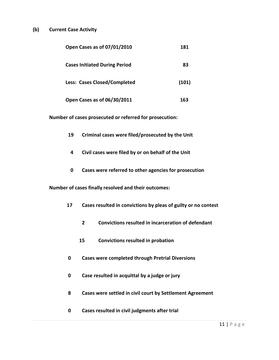#### **(b) Current Case Activity**

| Open Cases as of 07/01/2010          | 181   |
|--------------------------------------|-------|
| <b>Cases Initiated During Period</b> | 83    |
| <b>Less: Cases Closed/Completed</b>  | (101) |
| Open Cases as of 06/30/2011          | 163   |

**Number of cases prosecuted or referred for prosecution:**

- **19 Criminal cases were filed/prosecuted by the Unit**
- **4 Civil cases were filed by or on behalf of the Unit**
- **0 Cases were referred to other agencies for prosecution**

**Number of cases finally resolved and their outcomes:**

- **17 Cases resulted in convictions by pleas of guilty or no contest**
	- **2 Convictions resulted in incarceration of defendant**
	- **15 Convictions resulted in probation**
- **0 Cases were completed through Pretrial Diversions**
- **0 Case resulted in acquittal by a judge or jury**
- **8 Cases were settled in civil court by Settlement Agreement**
- **0 Cases resulted in civil judgments after trial**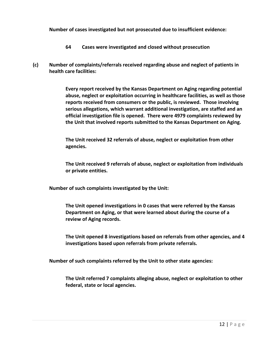**Number of cases investigated but not prosecuted due to insufficient evidence:**

- **64 Cases were investigated and closed without prosecution**
- **(c) Number of complaints/referrals received regarding abuse and neglect of patients in health care facilities:**

**Every report received by the Kansas Department on Aging regarding potential abuse, neglect or exploitation occurring in healthcare facilities, as well as those reports received from consumers or the public, is reviewed. Those involving serious allegations, which warrant additional investigation, are staffed and an official investigation file is opened. There were 4979 complaints reviewed by the Unit that involved reports submitted to the Kansas Department on Aging.**

**The Unit received 32 referrals of abuse, neglect or exploitation from other agencies.**

**The Unit received 9 referrals of abuse, neglect or exploitation from individuals or private entities.**

**Number of such complaints investigated by the Unit:**

**The Unit opened investigations in 0 cases that were referred by the Kansas Department on Aging, or that were learned about during the course of a review of Aging records.**

**The Unit opened 8 investigations based on referrals from other agencies, and 4 investigations based upon referrals from private referrals.**

**Number of such complaints referred by the Unit to other state agencies:**

**The Unit referred 7 complaints alleging abuse, neglect or exploitation to other federal, state or local agencies.**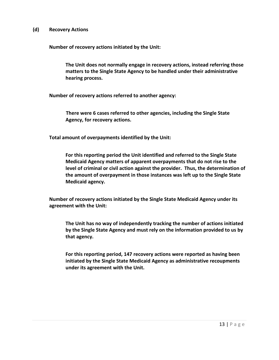#### **(d) Recovery Actions**

**Number of recovery actions initiated by the Unit:**

**The Unit does not normally engage in recovery actions, instead referring those matters to the Single State Agency to be handled under their administrative hearing process.** 

**Number of recovery actions referred to another agency:**

**There were 6 cases referred to other agencies, including the Single State Agency, for recovery actions.**

**Total amount of overpayments identified by the Unit:**

**For this reporting period the Unit identified and referred to the Single State Medicaid Agency matters of apparent overpayments that do not rise to the level of criminal or civil action against the provider. Thus, the determination of the amount of overpayment in those instances was left up to the Single State Medicaid agency.** 

**Number of recovery actions initiated by the Single State Medicaid Agency under its agreement with the Unit:**

**The Unit has no way of independently tracking the number of actions initiated by the Single State Agency and must rely on the information provided to us by that agency.** 

**For this reporting period, 147 recovery actions were reported as having been initiated by the Single State Medicaid Agency as administrative recoupments under its agreement with the Unit.**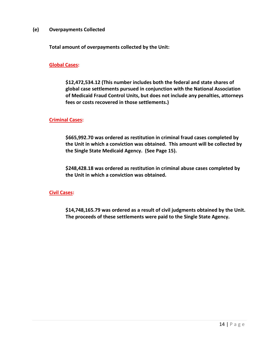#### **(e) Overpayments Collected**

**Total amount of overpayments collected by the Unit:**

#### **Global Cases:**

**\$12,472,534.12 (This number includes both the federal and state shares of global case settlements pursued in conjunction with the National Association of Medicaid Fraud Control Units, but does not include any penalties, attorneys fees or costs recovered in those settlements.)**

#### **Criminal Cases:**

**\$665,992.70 was ordered as restitution in criminal fraud cases completed by the Unit in which a conviction was obtained. This amount will be collected by the Single State Medicaid Agency. (See Page 15).** 

**\$248,428.18 was ordered as restitution in criminal abuse cases completed by the Unit in which a conviction was obtained.** 

**Civil Cases:**

**\$14,748,165.79 was ordered as a result of civil judgments obtained by the Unit. The proceeds of these settlements were paid to the Single State Agency.**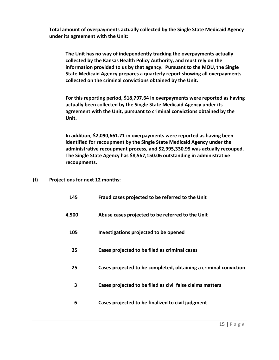**Total amount of overpayments actually collected by the Single State Medicaid Agency under its agreement with the Unit:** 

**The Unit has no way of independently tracking the overpayments actually collected by the Kansas Health Policy Authority, and must rely on the information provided to us by that agency. Pursuant to the MOU, the Single State Medicaid Agency prepares a quarterly report showing all overpayments collected on the criminal convictions obtained by the Unit.** 

**For this reporting period, \$18,797.64 in overpayments were reported as having actually been collected by the Single State Medicaid Agency under its agreement with the Unit, pursuant to criminal convictions obtained by the Unit.**

**In addition, \$2,090,661.71 in overpayments were reported as having been identified for recoupment by the Single State Medicaid Agency under the administrative recoupment process, and \$2,995,330.95 was actually recouped. The Single State Agency has \$8,567,150.06 outstanding in administrative recoupments.**

**(f) Projections for next 12 months:**

| 145   | Fraud cases projected to be referred to the Unit                 |
|-------|------------------------------------------------------------------|
| 4,500 | Abuse cases projected to be referred to the Unit                 |
| 105   | Investigations projected to be opened                            |
| 25    | Cases projected to be filed as criminal cases                    |
| 25    | Cases projected to be completed, obtaining a criminal conviction |
| 3     | Cases projected to be filed as civil false claims matters        |
| 6     | Cases projected to be finalized to civil judgment                |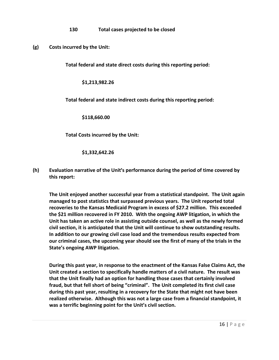**130 Total cases projected to be closed**

**(g) Costs incurred by the Unit:**

**Total federal and state direct costs during this reporting period:**

**\$1,213,982.26**

**Total federal and state indirect costs during this reporting period:** 

**\$118,660.00**

**Total Costs incurred by the Unit:** 

**\$1,332,642.26**

**(h)** Evaluation narrative of the Unit's performance during the period of time covered by **this report:**

**The Unit enjoyed another successful year from a statistical standpoint. The Unit again managed to post statistics that surpassed previous years. The Unit reported total recoveries to the Kansas Medicaid Program in excess of \$27.2 million. This exceeded the \$21 million recovered in FY 2010. With the ongoing AWP litigation, in which the Unit has taken an active role in assisting outside counsel, as well as the newly formed civil section, it is anticipated that the Unit will continue to show outstanding results. In addition to our growing civil case load and the tremendous results expected from our criminal cases, the upcoming year should see the first of many of the trials in the State's ongoing AWP litigation.**

**During this past year, in response to the enactment of the Kansas False Claims Act, the Unit created a section to specifically handle matters of a civil nature. The result was that the Unit finally had an option for handling those cases that certainly involved fraud, but that fell short of being "criminal". The Unit completed its first civil case during this past year, resulting in a recovery for the State that might not have been realized otherwise. Although this was not a large case from a financial standpoint, it was a terrific beginning point for the Unit's civil section.**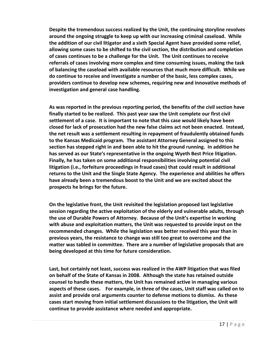**Despite the tremendous success realized by the Unit, the continuing storyline revolves around the ongoing struggle to keep up with our increasing criminal caseload. While the addition of our civil litigator and a sixth Special Agent have provided some relief, allowing some cases to be shifted to the civil section, the distribution and completion of cases continues to be a challenge for the Unit. The Unit continues to receive referrals of cases involving more complex and time consuming issues, making the task of balancing the caseload with available resources that much more difficult. While we do continue to receive and investigate a number of the basic, less complex cases, providers continue to develop new schemes, requiring new and innovative methods of investigation and general case handling.** 

**As was reported in the previous reporting period, the benefits of the civil section have finally started to be realized. This past year saw the Unit complete our first civil settlement of a case. It is important to note that this case would likely have been closed for lack of prosecution had the new false claims act not been enacted. Instead, the net result was a settlement resulting in repayment of fraudulently obtained funds to the Kansas Medicaid program. The assistant Attorney General assigned to this section has stepped right in and been able to hit the ground running. In addition he has served as our State's representative in the ongoing Wyeth Best Price litigation. Finally, he has taken on some additional responsibilities involving potential civil litigation (i.e., forfeiture proceedings in fraud cases) that could result in additional returns to the Unit and the Single State Agency. The experience and abilities he offers have already been a tremendous boost to the Unit and we are excited about the prospects he brings for the future.** 

**On the legislative front, the Unit revisited the legislation proposed last legislative session regarding the active exploitation of the elderly and vulnerable adults, through the use of Durable Powers of Attorney. Because of the Unit's expertise in working with abuse and exploitation matters, the Unit was requested to provide input on the recommended changes. While the legislation was better received this year than in previous years, the resistance to change was still too great to overcome and the matter was tabled in committee. There are a number of legislative proposals that are being developed at this time for future consideration.** 

**Last, but certainly not least, success was realized in the AWP litigation that was filed on behalf of the State of Kansas in 2008. Although the state has retained outside counsel to handle these matters, the Unit has remained active in managing various aspects of these cases. For example, in three of the cases, Unit staff was called on to assist and provide oral arguments counter to defense motions to dismiss. As these cases start moving from initial settlement discussions to the litigation, the Unit will continue to provide assistance where needed and appropriate.**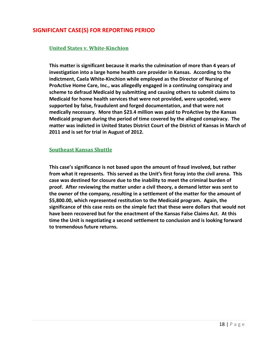# **SIGNIFICANT CASE(S) FOR REPORTING PERIOD**

#### **United States v. White-Kinchion**

**This matter is significant because it marks the culmination of more than 4 years of investigation into a large home health care provider in Kansas. According to the indictment, Caela White-Kinchion while employed as the Director of Nursing of ProActive Home Care, Inc., was allegedly engaged in a continuing conspiracy and scheme to defraud Medicaid by submitting and causing others to submit claims to Medicaid for home health services that were not provided, were upcoded, were supported by false, fraudulent and forged documentation, and that were not medically necessary. More than \$23.4 million was paid to ProActive by the Kansas Medicaid program during the period of time covered by the alleged conspiracy. The matter was indicted in United States District Court of the District of Kansas in March of 2011 and is set for trial in August of 2012.**

#### **Southeast Kansas Shuttle**

**This case's significance is not based upon the amount of fraud involved, but rather from what it represents. This served as the Unit's first foray into the civil arena. This case was destined for closure due to the inability to meet the criminal burden of proof. After reviewing the matter under a civil theory, a demand letter was sent to the owner of the company, resulting in a settlement of the matter for the amount of \$5,800.00, which represented restitution to the Medicaid program. Again, the significance of this case rests on the simple fact that these were dollars that would not have been recovered but for the enactment of the Kansas False Claims Act. At this time the Unit is negotiating a second settlement to conclusion and is looking forward to tremendous future returns.**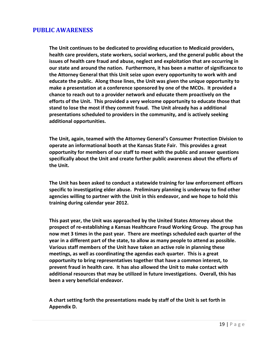## **PUBLIC AWARENESS**

**The Unit continues to be dedicated to providing education to Medicaid providers, health care providers, state workers, social workers, and the general public about the issues of health care fraud and abuse, neglect and exploitation that are occurring in our state and around the nation. Furthermore, it has been a matter of significance to the Attorney General that this Unit seize upon every opportunity to work with and educate the public. Along those lines, the Unit was given the unique opportunity to make a presentation at a conference sponsored by one of the MCOs. It provided a chance to reach out to a provider network and educate them proactively on the efforts of the Unit. This provided a very welcome opportunity to educate those that stand to lose the most if they commit fraud. The Unit already has a additional presentations scheduled to providers in the community, and is actively seeking additional opportunities.**

**The Unit, again, teamed with the Attorney General's Consumer Protection Division to operate an informational booth at the Kansas State Fair. This provides a great opportunity for members of our staff to meet with the public and answer questions specifically about the Unit and create further public awareness about the efforts of the Unit.**

**The Unit has been asked to conduct a statewide training for law enforcement officers specific to investigating elder abuse. Preliminary planning is underway to find other agencies willing to partner with the Unit in this endeavor, and we hope to hold this training during calendar year 2012.**

**This past year, the Unit was approached by the United States Attorney about the prospect of re-establishing a Kansas Healthcare Fraud Working Group. The group has now met 3 times in the past year. There are meetings scheduled each quarter of the year in a different part of the state, to allow as many people to attend as possible. Various staff members of the Unit have taken an active role in planning these meetings, as well as coordinating the agendas each quarter. This is a great opportunity to bring representatives together that have a common interest, to prevent fraud in health care. It has also allowed the Unit to make contact with additional resources that may be utilized in future investigations. Overall, this has been a very beneficial endeavor.**

**A chart setting forth the presentations made by staff of the Unit is set forth in Appendix D.**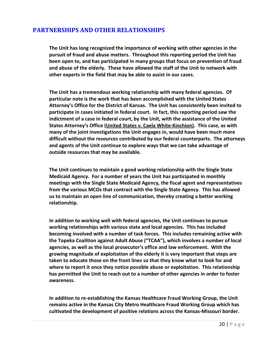# **PARTNERSHIPS AND OTHER RELATIONSHIPS**

**The Unit has long recognized the importance of working with other agencies in the pursuit of fraud and abuse matters. Throughout this reporting period the Unit has been open to, and has participated in many groups that focus on prevention of fraud and abuse of the elderly. These have allowed the staff of the Unit to network with other experts in the field that may be able to assist in our cases.** 

**The Unit has a tremendous working relationship with many federal agencies. Of particular note is the work that has been accomplished with the United States Attorney's Office for the District of Kansas. The Unit has consistently been invited to participate in cases initiated in federal court. In fact, this reporting period saw the indictment of a case in federal court, by the Unit, with the assistance of the United States Attorney's Office (United States v. Caela White-Kinchion). This case, as with many of the joint investigations the Unit engages in, would have been much more difficult without the resources contributed by our federal counterparts. The attorneys and agents of the Unit continue to explore ways that we can take advantage of outside resources that may be available.** 

**The Unit continues to maintain a good working relationship with the Single State Medicaid Agency. For a number of years the Unit has participated in monthly meetings with the Single State Medicaid Agency, the fiscal agent and representatives from the various MCOs that contract with the Single State Agency. This has allowed us to maintain an open line of communication, thereby creating a better working relationship.** 

**In addition to working well with federal agencies, the Unit continues to pursue working relationships with various state and local agencies. This has included becoming involved with a number of task forces. This includes remaining active with the Topeka Coalition against Adult Abuse ("TCAA"), which involves a number of local agencies, as well as the local prosecutor's office and law enforcement. With the growing magnitude of exploitation of the elderly it is very important that steps are taken to educate those on the front lines so that they know what to look for and where to report it once they notice possible abuse or exploitation. This relationship has permitted the Unit to reach out to a number of other agencies in order to foster awareness.** 

**In addition to re-establishing the Kansas Healthcare Fraud Working Group, the Unit remains active in the Kansas City Metro Healthcare Fraud Working Group which has cultivated the development of positive relations across the Kansas-Missouri border.**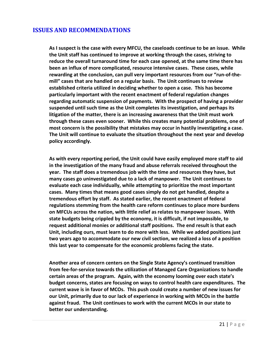## **ISSUES AND RECOMMENDATIONS**

**As I suspect is the case with every MFCU, the caseloads continue to be an issue. While the Unit staff has continued to improve at working through the cases, striving to reduce the overall turnaround time for each case opened, at the same time there has been an influx of more complicated, resource intensive cases. These cases, while rewarding at the conclusion, can pull very important resources from our "run-of-themill" cases that are handled on a regular basis. The Unit continues to review established criteria utilized in deciding whether to open a case. This has become particularly important with the recent enactment of federal regulation changes regarding automatic suspension of payments. With the prospect of having a provider suspended until such time as the Unit completes its investigation, and perhaps its litigation of the matter, there is an increasing awareness that the Unit must work through these cases even sooner. While this creates many potential problems, one of most concern is the possibility that mistakes may occur in hastily investigating a case. The Unit will continue to evaluate the situation throughout the next year and develop policy accordingly.**

**As with every reporting period, the Unit could have easily employed more staff to aid in the investigation of the many fraud and abuse referrals received throughout the year. The staff does a tremendous job with the time and resources they have, but many cases go uninvestigated due to a lack of manpower. The Unit continues to evaluate each case individually, while attempting to prioritize the most important cases. Many times that means good cases simply do not get handled, despite a tremendous effort by staff. As stated earlier, the recent enactment of federal regulations stemming from the health care reform continues to place more burdens on MFCUs across the nation, with little relief as relates to manpower issues. With state budgets being crippled by the economy, it is difficult, if not impossible, to request additional monies or additional staff positions. The end result is that each Unit, including ours, must learn to do more with less. While we added positions just two years ago to accommodate our new civil section, we realized a loss of a position this last year to compensate for the economic problems facing the state.**

**Another area of concern centers on the Single State Agency's continued transition from fee-for-service towards the utilization of Managed Care Organizations to handle certain areas of the program. Again, with the economy looming over each state's budget concerns, states are focusing on ways to control health care expenditures. The current wave is in favor of MCOs. This push could create a number of new issues for our Unit, primarily due to our lack of experience in working with MCOs in the battle against fraud. The Unit continues to work with the current MCOs in our state to better our understanding.**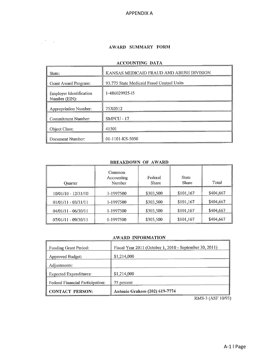**APPENDIX A** 

#### AWARD SUMMARY FORM

 $\label{eq:2.1} \begin{array}{c} \mathcal{F}_{\text{max}}(\mathcal{F}) = \mathcal{F}_{\text{max}}(\mathcal{F}) \, , \\ \mathcal{F}_{\text{max}}(\mathcal{F}) = \mathcal{F}_{\text{max}}(\mathcal{F}) \, . \end{array}$ 

#### ACCOUNTING DATA

| State:                                          | KANSAS MEDICAID FRAUD AND ABUSE DIVISION  |
|-------------------------------------------------|-------------------------------------------|
| Grant Award Program:                            | 93.775 State Medicaid Fraud Control Units |
| <b>Employer Identification</b><br>Number (EIN): | 1-486029925-15                            |
| <b>Appropriation Number:</b>                    | 75X0512                                   |
| <b>Commitment Number:</b>                       | SMFCU - 17                                |
| Object Class:                                   | 41501                                     |
| Document Number:                                | 01-1101-KS-5050                           |

#### **BREAKDOWN OF AWARD**

| <b>Ouarter</b>        | Common<br>Accounting<br>Number | Federal<br>Share | <b>State</b><br>Share | Total     |
|-----------------------|--------------------------------|------------------|-----------------------|-----------|
| 10/01/10 - 12/31/10   | 1-1997500                      | \$303,500        | \$101,167             | \$404,667 |
| $01/01/11 - 03/31/11$ | 1-1997500                      | \$303,500        | \$101,167             | \$404,667 |
| 04/01/11 - 06/30/11   | 1-1997500                      | \$303,500        | \$101,167             | \$404,667 |
| 07/01/11 - 09/30/11   | 1-1997500                      | \$303,500        | \$101,167             | \$404,667 |

#### AWARD INFORMATION

| <b>Funding Grant Period:</b>            | Fiscal Year 2011 (October 1, 2010 - September 30, 2011) |
|-----------------------------------------|---------------------------------------------------------|
| Approved Budget:                        | \$1,214,000                                             |
| Adjustments:                            |                                                         |
| <b>Expected Expenditures:</b>           | \$1,214,000                                             |
| <b>Federal Financial Participation:</b> | 75 percent                                              |
| <b>CONTACT PERSON:</b>                  | Antonio Graham (202) 619-7774                           |

RMS-3 (ASF 10/93)

 $\overline{a}$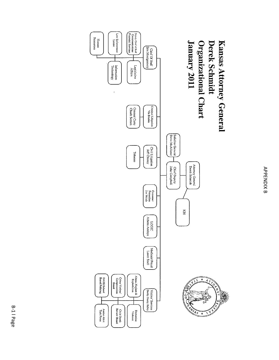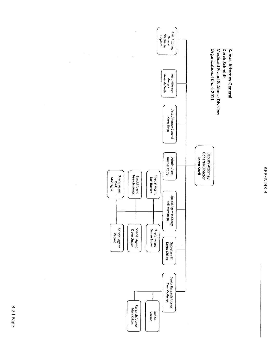



 $\bar{\beta}$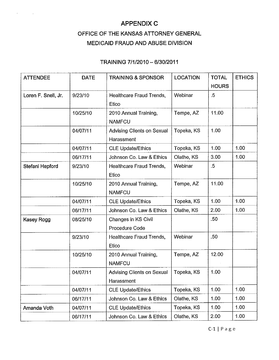# **APPENDIX C**

 $\mathcal{A}(\mathcal{A})$  and  $\mathcal{A}(\mathcal{A})$  . The  $\mathcal{A}(\mathcal{A})$ 

# OFFICE OF THE KANSAS ATTORNEY GENERAL MEDICAID FRAUD AND ABUSE DIVISION

| <b>ATTENDEE</b>     | <b>DATE</b> | <b>TRAINING &amp; SPONSOR</b>            | <b>LOCATION</b> | <b>TOTAL</b> | <b>ETHICS</b> |
|---------------------|-------------|------------------------------------------|-----------------|--------------|---------------|
|                     |             |                                          |                 | <b>HOURS</b> |               |
| Loren F. Snell, Jr. | 9/23/10     | Healthcare Fraud Trends,<br>Etico        | Webinar         | $.5\,$       |               |
|                     | 10/25/10    | 2010 Annual Training,<br><b>NAMFCU</b>   | Tempe, AZ       | 11.00        |               |
|                     | 04/07/11    | Advising Clients on Sexual<br>Harassment | Topeka, KS      | 1.00         |               |
|                     | 04/07/11    | <b>CLE Update/Ethics</b>                 | Topeka, KS      | 1.00         | 1.00          |
|                     | 06/17/11    | Johnson Co. Law & Ethics                 | Olathe, KS      | 3.00         | 1.00          |
| Stefani Hepford     | 9/23/10     | Healthcare Fraud Trends,<br>Etico        | Webinar         | $.5\,$       |               |
|                     | 10/25/10    | 2010 Annual Training,<br><b>NAMFCU</b>   | Tempe, AZ       | 11.00        |               |
|                     | 04/07/11    | <b>CLE Update/Ethics</b>                 | Topeka, KS      | 1.00         | 1.00          |
|                     | 06/17/11    | Johnson Co. Law & Ethics                 | Olathe, KS      | 2.00         | 1.00          |
| Kasey Rogg          | 08/25/10    | Changes in KS Civil<br>Procedure Code    |                 | .50          |               |
|                     | 9/23/10     | Healthcare Fraud Trends,<br>Etico        | Webinar         | .50          |               |
|                     | 10/25/10    | 2010 Annual Training,<br><b>NAMFCU</b>   | Tempe, AZ       | 12.00        |               |
|                     | 04/07/11    | Advising Clients on Sexual<br>Harassment | Topeka, KS      | 1.00         |               |
|                     | 04/07/11    | <b>CLE Update/Ethics</b>                 | Topeka, KS      | 1.00         | 1.00          |
|                     | 06/17/11    | Johnson Co. Law & Ethics                 | Olathe, KS      | 1.00         | 1.00          |
| Amanda Voth         | 04/07/11    | <b>CLE Update/Ethics</b>                 | Topeka, KS      | 1.00         | 1.00          |
|                     | 06/17/11    | Johnson Co. Law & Ethics                 | Olathe, KS      | 2.00         | 1.00          |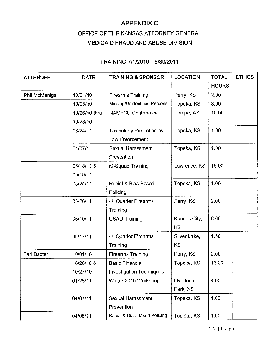# **APPENDIX C**

 $\sim 40\%$  .

# OFFICE OF THE KANSAS ATTORNEY GENERAL MEDICAID FRAUD AND ABUSE DIVISION

# TRAINING 7/1/2010 - 6/30/2011

| <b>ATTENDEE</b>    | <b>DATE</b>   | <b>TRAINING &amp; SPONSOR</b>    | <b>LOCATION</b> | <b>TOTAL</b> | <b>ETHICS</b> |
|--------------------|---------------|----------------------------------|-----------------|--------------|---------------|
|                    |               |                                  |                 | <b>HOURS</b> |               |
| Phil McManigal     | 10/01/10      | <b>Firearms Training</b>         | Perry, KS       | 2.00         |               |
|                    | 10/05/10      | Missing/Unidentified Persons     | Topeka, KS      | 3.00         |               |
|                    | 10/26/10 thru | <b>NAMFCU Conference</b>         | Tempe, AZ       | 10.00        |               |
|                    | 10/28/10      |                                  |                 |              |               |
|                    | 03/24/11      | <b>Toxicology Protection by</b>  | Topeka, KS      | 1.00         |               |
|                    |               | Law Enforcement                  |                 |              |               |
|                    | 04/07/11      | <b>Sexual Harassment</b>         | Topeka, KS      | 1.00         |               |
|                    |               | Prevention                       |                 |              |               |
|                    | 05/18/11 &    | M-Squad Training                 | Lawrence, KS    | 16.00        |               |
|                    | 05/19/11      |                                  |                 |              |               |
|                    | 05/24/11      | Racial & Bias-Based              | Topeka, KS      | 1.00         |               |
|                    |               | Policing                         |                 |              |               |
|                    | 05/26/11      | 4th Quarter Firearms             | Perry, KS       | 2.00         |               |
|                    |               | Training                         |                 |              |               |
|                    | 06/10/11      | <b>USAO Training</b>             | Kansas City,    | 6.00         |               |
|                    |               |                                  | KS              |              |               |
|                    | 06/17/11      | 4 <sup>th</sup> Quarter Firearms | Silver Lake,    | 1.50         |               |
|                    |               | Training                         | <b>KS</b>       |              |               |
| <b>Earl Baxter</b> | 10/01/10      | <b>Firearms Training</b>         | Perry, KS       | 2.00         |               |
|                    | 10/26/10 &    | <b>Basic Financial</b>           | Topeka, KS      | 16.00        |               |
|                    | 10/27/10      | <b>Investigation Techniques</b>  |                 |              |               |
|                    | 01/25/11      | Winter 2010 Workshop             | Overland        | 4.00         |               |
|                    |               |                                  | Park, KS        |              |               |
|                    | 04/07/11      | <b>Sexual Harassment</b>         | Topeka, KS      | 1.00         |               |
|                    |               | Prevention                       |                 |              |               |
|                    | 04/08/11      | Racial & Blas-Based Policing     | Topeka, KS      | 1.00         |               |

 $\mathcal{L}^{\mathcal{L}}$  . The contribution of the matrix  $\mathcal{L}^{\mathcal{L}}$  , and  $\mathcal{L}^{\mathcal{L}}$ 

 $C-2$  | P a g e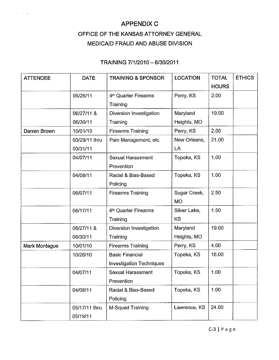# **APPENDIX C** OFFICE OF THE KANSAS ATTORNEY GENERAL MEDICAID FRAUD AND ABUSE DIVISION

 $\mathbf{r} = \mathbf{r} \times \mathbf{r}$  ,  $\mathbf{r} = \mathbf{r}$  ,

| <b>ATTENDEE</b> | <b>DATE</b>   | <b>TRAINING &amp; SPONSOR</b>    | <b>LOCATION</b> | <b>TOTAL</b> | <b>ETHICS</b> |
|-----------------|---------------|----------------------------------|-----------------|--------------|---------------|
|                 |               |                                  |                 | <b>HOURS</b> |               |
|                 | 05/26/11      | 4 <sup>th</sup> Quarter Firearms | Perry, KS       | 2.00         |               |
|                 |               | Training                         |                 |              |               |
|                 | 06/27/11 &    | Diversion Investigation          | Maryland        | 19.00        |               |
|                 | 06/30/11      | Training                         | Heights, MO     |              |               |
| Darren Brown    | 10/01/10      | <b>Firearms Training</b>         | Perry, KS       | 2.00         |               |
|                 | 03/29/11 thru | Pain Management, etc.            | New Orleans,    | 21.00        |               |
|                 | 03/31/11      |                                  | LA              |              |               |
|                 | 04/07/11      | <b>Sexual Harassment</b>         | Topeka, KS      | 1.00         |               |
|                 |               | Prevention                       |                 |              |               |
|                 | 04/08/11      | Racial & Bias-Based              | Topeka, KS      | 1.00         |               |
|                 |               | Policing                         |                 |              |               |
|                 | 06/07/11      | <b>Firearms Training</b>         | Sugar Creek,    | 2.50         |               |
|                 |               |                                  | <b>MO</b>       |              |               |
|                 | 06/17/11      | 4 <sup>th</sup> Quarter Firearms | Silver Lake,    | 1.50         |               |
|                 |               | Training                         | KS              |              |               |
|                 | 06/27/11 &    | Diversion Investigation          | Maryland        | 19.00        |               |
|                 | 06/30/11      | Training                         | Heights, MO     |              |               |
| Mark Montague   | 10/01/10      | <b>Firearms Training</b>         | Perry, KS       | 4.00         |               |
|                 | 10/26/10      | <b>Basic Financial</b>           | Topeka, KS      | 16.00        |               |
|                 |               | <b>Investigation Techniques</b>  |                 |              |               |
|                 | 04/07/11      | <b>Sexual Harassment</b>         | Topeka, KS      | 1.00         |               |
|                 |               | Prevention                       |                 |              |               |
|                 | 04/08/11      | Racial & Bias-Based              | Topeka, KS      | 1.00         |               |
|                 |               | Policing                         |                 |              |               |
|                 | 05/17/11 thru | M-Squad Training                 | Lawrence, KS    | 24.00        |               |
|                 | 05/19/11      |                                  |                 |              |               |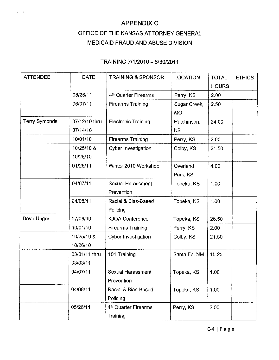# **APPENDIX C** OFFICE OF THE KANSAS ATTORNEY GENERAL

 $\tilde{C} = \tilde{A} + \tilde{A} + \tilde{A}$ 

# MEDICAID FRAUD AND ABUSE DIVISION

| <b>ATTENDEE</b>      | <b>DATE</b>   | <b>TRAINING &amp; SPONSOR</b>    | <b>LOCATION</b> | <b>TOTAL</b> | <b>ETHICS</b> |
|----------------------|---------------|----------------------------------|-----------------|--------------|---------------|
|                      |               |                                  |                 | <b>HOURS</b> |               |
|                      | 05/26/11      | 4 <sup>th</sup> Quarter Firearms | Perry, KS       | 2.00         |               |
|                      | 06/07/11      | <b>Firearms Training</b>         | Sugar Creek,    | 2.50         |               |
|                      |               |                                  | <b>MO</b>       |              |               |
| <b>Terry Symonds</b> | 07/12/10 thru | <b>Electronic Training</b>       | Hutchinson,     | 24.00        |               |
|                      | 07/14/10      |                                  | KS              |              |               |
|                      | 10/01/10      | <b>Firearms Training</b>         | Perry, KS       | 2.00         |               |
|                      | 10/25/10 &    | <b>Cyber Investigation</b>       | Colby, KS       | 21.50        |               |
|                      | 10/26/10      |                                  |                 |              |               |
|                      | 01/25/11      | Winter 2010 Workshop             | Overland        | 4.00         |               |
|                      |               |                                  | Park, KS        |              |               |
|                      | 04/07/11      | Sexual Harassment                | Topeka, KS      | 1.00         |               |
|                      |               | Prevention                       |                 |              |               |
|                      | 04/08/11      | Racial & Bias-Based              | Topeka, KS      | 1.00         |               |
|                      |               | Policing                         |                 |              |               |
| Dave Unger           | 07/06/10      | <b>KJOA Conference</b>           | Topeka, KS      | 26.50        |               |
|                      | 10/01/10      | <b>Firearms Training</b>         | Perry, KS       | 2.00         |               |
|                      | 10/25/10 &    | Cyber Investigation              | Colby, KS       | 21.50        |               |
|                      | 10/26/10      |                                  |                 |              |               |
|                      | 03/01/11 thru | 101 Training                     | Santa Fe, NM    | 15.25        |               |
|                      | 03/03/11      |                                  |                 |              |               |
|                      | 04/07/11      | Sexual Harassment                | Topeka, KS      | 1.00         |               |
|                      |               | Prevention                       |                 |              |               |
|                      | 04/08/11      | Racial & Bias-Based              | Topeka, KS      | 1.00         |               |
|                      |               | Policing                         |                 |              |               |
|                      | 05/26/11      | 4 <sup>th</sup> Quarter Firearms | Perry, KS       | 2.00         |               |
|                      |               | <b>Training</b>                  |                 |              |               |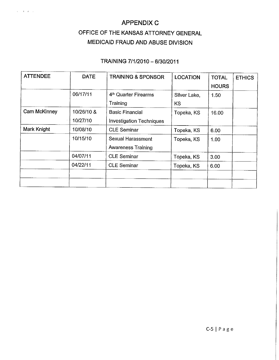# **APPENDIX C**

 $\tilde{\mathbf{z}} = \mathbf{z} + \mathbf{z} + \mathbf{z}$ 

# OFFICE OF THE KANSAS ATTORNEY GENERAL MEDICAID FRAUD AND ABUSE DIVISION

| <b>ATTENDEE</b> | <b>DATE</b>            | <b>TRAINING &amp; SPONSOR</b>                             | <b>LOCATION</b>     | <b>TOTAL</b><br><b>HOURS</b> | <b>ETHICS</b> |
|-----------------|------------------------|-----------------------------------------------------------|---------------------|------------------------------|---------------|
|                 | 06/17/11               | 4 <sup>th</sup> Quarter Firearms<br>Training              | Silver Lake,<br>KS. | 1.50                         |               |
| Cam McKinney    | 10/26/10 &<br>10/27/10 | <b>Basic Financial</b><br><b>Investigation Techniques</b> | Topeka, KS          | 16.00                        |               |
| Mark Knight     | 10/08/10               | <b>CLE Seminar</b>                                        | Topeka, KS          | 6.00                         |               |
|                 | 10/15/10               | Sexual Harassment<br><b>Awareness Training</b>            | Topeka, KS          | 1.00                         |               |
|                 | 04/07/11               | <b>CLE Seminar</b>                                        | Topeka, KS          | 3.00                         |               |
|                 | 04/22/11               | <b>CLE Seminar</b>                                        | Topeka, KS          | 6.00                         |               |
|                 |                        |                                                           |                     |                              |               |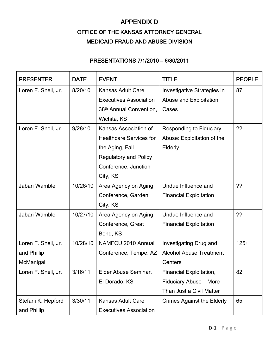# APPENDIX D OFFICE OF THE KANSAS ATTORNEY GENERAL MEDICAID FRAUD AND ABUSE DIVISION

# PRESENTATIONS 7/1/2010 – 6/30/2011

| <b>PRESENTER</b>    | <b>DATE</b> | <b>EVENT</b>                        | TITLE                             | <b>PEOPLE</b> |
|---------------------|-------------|-------------------------------------|-----------------------------------|---------------|
| Loren F. Snell, Jr. | 8/20/10     | <b>Kansas Adult Care</b>            | Investigative Strategies in       | 87            |
|                     |             | <b>Executives Association</b>       | Abuse and Exploitation            |               |
|                     |             | 38 <sup>th</sup> Annual Convention, | Cases                             |               |
|                     |             | Wichita, KS                         |                                   |               |
| Loren F. Snell, Jr. | 9/28/10     | Kansas Association of               | Responding to Fiduciary           | 22            |
|                     |             | <b>Healthcare Services for</b>      | Abuse: Exploitation of the        |               |
|                     |             | the Aging, Fall                     | Elderly                           |               |
|                     |             | <b>Regulatory and Policy</b>        |                                   |               |
|                     |             | Conference, Junction                |                                   |               |
|                     |             | City, KS                            |                                   |               |
| Jabari Wamble       | 10/26/10    | Area Agency on Aging                | Undue Influence and               | ??            |
|                     |             | Conference, Garden                  | <b>Financial Exploitation</b>     |               |
|                     |             | City, KS                            |                                   |               |
| Jabari Wamble       | 10/27/10    | Area Agency on Aging                | Undue Influence and               | 22            |
|                     |             | Conference, Great                   | <b>Financial Exploitation</b>     |               |
|                     |             | Bend, KS                            |                                   |               |
| Loren F. Snell, Jr. | 10/28/10    | NAMFCU 2010 Annual                  | Investigating Drug and            | $125+$        |
| and Phillip         |             | Conference, Tempe, AZ               | <b>Alcohol Abuse Treatment</b>    |               |
| McManigal           |             |                                     | Centers                           |               |
| Loren F. Snell, Jr. | 3/16/11     | Elder Abuse Seminar,                | Financial Exploitation,           | 82            |
|                     |             | El Dorado, KS                       | Fiduciary Abuse - More            |               |
|                     |             |                                     | Than Just a Civil Matter          |               |
| Stefani K. Hepford  | 3/30/11     | Kansas Adult Care                   | <b>Crimes Against the Elderly</b> | 65            |
| and Phillip         |             | <b>Executives Association</b>       |                                   |               |